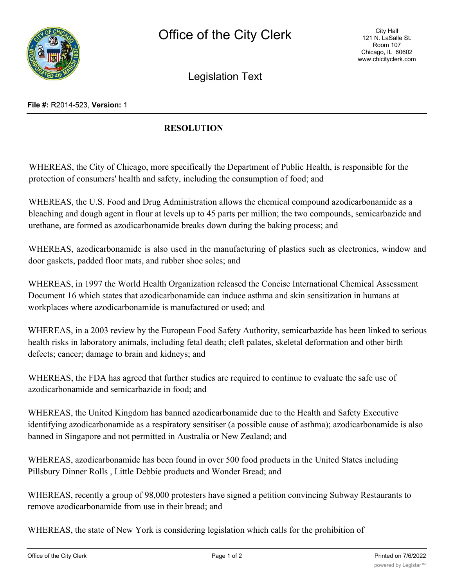

Legislation Text

## **File #:** R2014-523, **Version:** 1

## **RESOLUTION**

WHEREAS, the City of Chicago, more specifically the Department of Public Health, is responsible for the protection of consumers' health and safety, including the consumption of food; and

WHEREAS, the U.S. Food and Drug Administration allows the chemical compound azodicarbonamide as a bleaching and dough agent in flour at levels up to 45 parts per million; the two compounds, semicarbazide and urethane, are formed as azodicarbonamide breaks down during the baking process; and

WHEREAS, azodicarbonamide is also used in the manufacturing of plastics such as electronics, window and door gaskets, padded floor mats, and rubber shoe soles; and

WHEREAS, in 1997 the World Health Organization released the Concise International Chemical Assessment Document 16 which states that azodicarbonamide can induce asthma and skin sensitization in humans at workplaces where azodicarbonamide is manufactured or used; and

WHEREAS, in a 2003 review by the European Food Safety Authority, semicarbazide has been linked to serious health risks in laboratory animals, including fetal death; cleft palates, skeletal deformation and other birth defects; cancer; damage to brain and kidneys; and

WHEREAS, the FDA has agreed that further studies are required to continue to evaluate the safe use of azodicarbonamide and semicarbazide in food; and

WHEREAS, the United Kingdom has banned azodicarbonamide due to the Health and Safety Executive identifying azodicarbonamide as a respiratory sensitiser (a possible cause of asthma); azodicarbonamide is also banned in Singapore and not permitted in Australia or New Zealand; and

WHEREAS, azodicarbonamide has been found in over 500 food products in the United States including Pillsbury Dinner Rolls , Little Debbie products and Wonder Bread; and

WHEREAS, recently a group of 98,000 protesters have signed a petition convincing Subway Restaurants to remove azodicarbonamide from use in their bread; and

WHEREAS, the state of New York is considering legislation which calls for the prohibition of